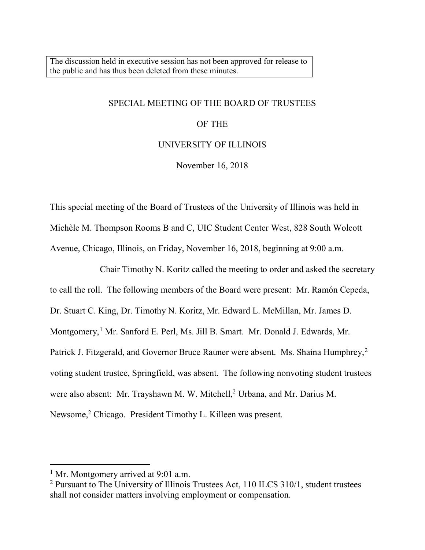The discussion held in executive session has not been approved for release to the public and has thus been deleted from these minutes.

#### SPECIAL MEETING OF THE BOARD OF TRUSTEES

### OF THE

### UNIVERSITY OF ILLINOIS

November 16, 2018

This special meeting of the Board of Trustees of the University of Illinois was held in Michèle M. Thompson Rooms B and C, UIC Student Center West, 828 South Wolcott Avenue, Chicago, Illinois, on Friday, November 16, 2018, beginning at 9:00 a.m.

Chair Timothy N. Koritz called the meeting to order and asked the secretary to call the roll. The following members of the Board were present: Mr. Ramón Cepeda, Dr. Stuart C. King, Dr. Timothy N. Koritz, Mr. Edward L. McMillan, Mr. James D. Montgomery,<sup>[1](#page-0-0)</sup> Mr. Sanford E. Perl, Ms. Jill B. Smart. Mr. Donald J. Edwards, Mr. Patrick J. Fitzgerald, and Governor Bruce Rauner were absent. Ms. Shaina Humphrey,<sup>[2](#page-0-1)</sup> voting student trustee, Springfield, was absent. The following nonvoting student trustees were also absent: Mr. Trayshawn M. W. Mitchell,<sup>2</sup> Urbana, and Mr. Darius M. Newsome,<sup>2</sup> Chicago. President Timothy L. Killeen was present.

<span id="page-0-0"></span><sup>&</sup>lt;sup>1</sup> Mr. Montgomery arrived at 9:01 a.m.

<span id="page-0-1"></span> $2$  Pursuant to The University of Illinois Trustees Act, 110 ILCS 310/1, student trustees shall not consider matters involving employment or compensation.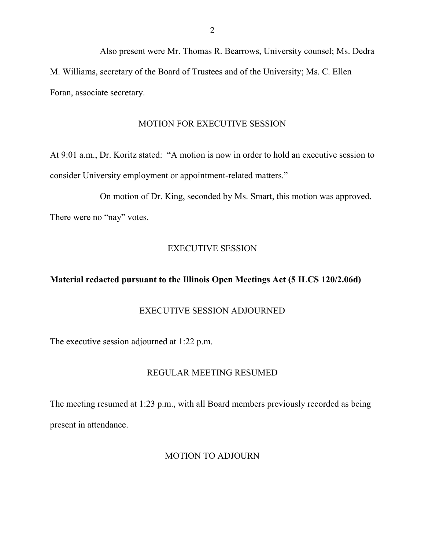Also present were Mr. Thomas R. Bearrows, University counsel; Ms. Dedra M. Williams, secretary of the Board of Trustees and of the University; Ms. C. Ellen Foran, associate secretary.

### MOTION FOR EXECUTIVE SESSION

At 9:01 a.m., Dr. Koritz stated: "A motion is now in order to hold an executive session to consider University employment or appointment-related matters."

On motion of Dr. King, seconded by Ms. Smart, this motion was approved. There were no "nay" votes.

# EXECUTIVE SESSION

# **Material redacted pursuant to the Illinois Open Meetings Act (5 ILCS 120/2.06d)**

# EXECUTIVE SESSION ADJOURNED

The executive session adjourned at 1:22 p.m.

## REGULAR MEETING RESUMED

The meeting resumed at 1:23 p.m., with all Board members previously recorded as being present in attendance.

## MOTION TO ADJOURN